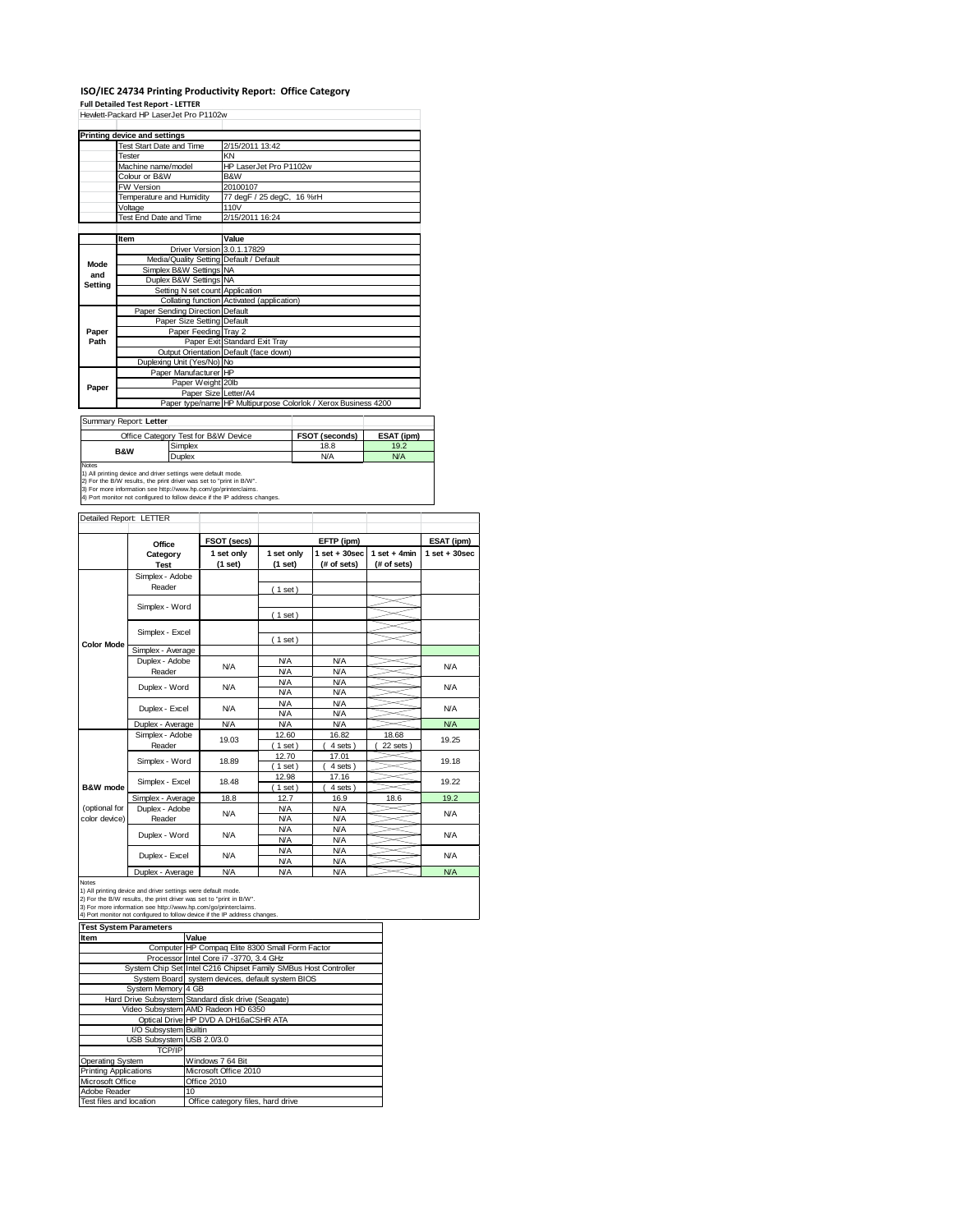## **ISO/IEC 24734 Printing Productivity Report: Office Category**

| <b>Full Detailed Test Report - LETTER</b><br>Hewlett-Packard HP LaserJet Pro P1102w                                                           |                                                                          |                                             |                                                  |                                                                 |                                     |                                                                        |            |                                                |                    |                   |            |
|-----------------------------------------------------------------------------------------------------------------------------------------------|--------------------------------------------------------------------------|---------------------------------------------|--------------------------------------------------|-----------------------------------------------------------------|-------------------------------------|------------------------------------------------------------------------|------------|------------------------------------------------|--------------------|-------------------|------------|
|                                                                                                                                               | <b>Printing device and settings</b>                                      |                                             |                                                  |                                                                 |                                     |                                                                        |            |                                                |                    |                   |            |
|                                                                                                                                               | <b>Test Start Date and Time</b><br>Tester                                |                                             |                                                  | 2/15/2011 13:42<br>ΚN                                           |                                     |                                                                        |            |                                                |                    |                   |            |
|                                                                                                                                               | Machine name/model                                                       |                                             |                                                  | HP LaserJet Pro P1102w                                          |                                     |                                                                        |            |                                                |                    |                   |            |
|                                                                                                                                               | Colour or B&W<br>FW Version                                              |                                             |                                                  | B&W<br>20100107                                                 |                                     |                                                                        |            |                                                |                    |                   |            |
|                                                                                                                                               | Temperature and Humidity                                                 |                                             |                                                  |                                                                 | 77 degF / 25 degC,                  | 16 %rH                                                                 |            |                                                |                    |                   |            |
|                                                                                                                                               | Voltage<br>Test End Date and Time                                        |                                             |                                                  | 110V<br>2/15/2011 16:24                                         |                                     |                                                                        |            |                                                |                    |                   |            |
|                                                                                                                                               |                                                                          |                                             |                                                  |                                                                 |                                     |                                                                        |            |                                                |                    |                   |            |
|                                                                                                                                               | Item                                                                     |                                             |                                                  |                                                                 | Value<br>Driver Version 3.0.1.17829 |                                                                        |            |                                                |                    |                   |            |
| Mode                                                                                                                                          |                                                                          | Media/Quality Setting                       |                                                  |                                                                 | Default / Default                   |                                                                        |            |                                                |                    |                   |            |
| and                                                                                                                                           |                                                                          | Simplex B&W Settings<br>Duplex B&W Settings |                                                  |                                                                 | <b>NA</b><br><b>NA</b>              |                                                                        |            |                                                |                    |                   |            |
| Setting                                                                                                                                       |                                                                          |                                             |                                                  | Setting N set count                                             | Application                         |                                                                        |            |                                                |                    |                   |            |
|                                                                                                                                               |                                                                          | Paper Sending Direction                     |                                                  | Collating function                                              | Default                             | Activated (application)                                                |            |                                                |                    |                   |            |
|                                                                                                                                               |                                                                          |                                             |                                                  | Paper Size Setting                                              | Default                             |                                                                        |            |                                                |                    |                   |            |
| Paper<br>Path                                                                                                                                 |                                                                          |                                             |                                                  | Paper Feeding<br>Paper Exit                                     |                                     | Tray 2<br>Standard Exit Tray<br>Output Orientation Default (face down) |            |                                                |                    |                   |            |
|                                                                                                                                               |                                                                          |                                             |                                                  |                                                                 |                                     |                                                                        |            |                                                |                    |                   |            |
|                                                                                                                                               |                                                                          | Duplexing Unit (Yes/No) No                  |                                                  | Paper Manufacturer HP                                           |                                     |                                                                        |            |                                                |                    |                   |            |
| Paper                                                                                                                                         |                                                                          |                                             |                                                  | Paper Weight 20lb                                               |                                     |                                                                        |            |                                                |                    |                   |            |
|                                                                                                                                               |                                                                          |                                             |                                                  | Paper Size<br>Paper type/name                                   | Letter/A4                           |                                                                        |            | HP Multipurpose Colorlok / Xerox Business 4200 |                    |                   |            |
|                                                                                                                                               |                                                                          |                                             |                                                  |                                                                 |                                     |                                                                        |            |                                                |                    |                   |            |
| Summary Report: Letter                                                                                                                        |                                                                          | Office Category Test for B&W Device         |                                                  |                                                                 |                                     |                                                                        |            |                                                |                    |                   |            |
|                                                                                                                                               | B&W                                                                      |                                             | Simplex                                          |                                                                 |                                     |                                                                        |            | FSOT (seconds)<br>18.8                         | ESAT (ipm)<br>19.2 |                   |            |
| Notes                                                                                                                                         |                                                                          |                                             | Duplex                                           |                                                                 |                                     |                                                                        |            | <b>N/A</b>                                     | N/A                |                   |            |
| 1) All printing device and driver settings were default mode.<br>2) For the B/W results, the print driver was set to "print in B/W".          |                                                                          |                                             |                                                  |                                                                 |                                     |                                                                        |            |                                                |                    |                   |            |
| 3) For more information see http://www.hp.com/go/printerclaims.<br>4) Port monitor not configured to follow device if the IP address changes. |                                                                          |                                             |                                                  |                                                                 |                                     |                                                                        |            |                                                |                    |                   |            |
|                                                                                                                                               |                                                                          |                                             |                                                  |                                                                 |                                     |                                                                        |            |                                                |                    |                   |            |
| Detailed Report: LETTER                                                                                                                       |                                                                          |                                             |                                                  |                                                                 |                                     |                                                                        |            |                                                |                    |                   |            |
|                                                                                                                                               |                                                                          | Office                                      |                                                  | FSOT (secs)                                                     |                                     |                                                                        | EFTP (ipm) |                                                |                    |                   | ESAT (ipm) |
|                                                                                                                                               |                                                                          | Category                                    |                                                  |                                                                 | 1 set only                          | 1 set only                                                             |            | $1$ set $+30$ sec                              | $1 set + 4 min$    | $1$ set $+30$ sec |            |
|                                                                                                                                               |                                                                          | Test                                        |                                                  |                                                                 | (1 set)                             | (1 set)                                                                |            | (# of sets)                                    | (# of sets)        |                   |            |
|                                                                                                                                               |                                                                          | Simplex - Adobe<br>Reader                   |                                                  |                                                                 |                                     | (1 set)                                                                |            |                                                |                    |                   |            |
|                                                                                                                                               |                                                                          | Simplex - Word                              |                                                  |                                                                 |                                     |                                                                        |            |                                                |                    |                   |            |
|                                                                                                                                               |                                                                          |                                             |                                                  |                                                                 |                                     | (1 set)                                                                |            |                                                |                    |                   |            |
|                                                                                                                                               |                                                                          | Simplex - Excel                             |                                                  |                                                                 |                                     |                                                                        |            |                                                |                    |                   |            |
| <b>Color Mode</b>                                                                                                                             |                                                                          | Simplex - Average                           |                                                  |                                                                 |                                     | (1 set)                                                                |            |                                                |                    |                   |            |
|                                                                                                                                               |                                                                          | Duplex - Adobe                              |                                                  |                                                                 | <b>N/A</b>                          | <b>N/A</b>                                                             |            | <b>N/A</b>                                     |                    |                   | <b>N/A</b> |
|                                                                                                                                               |                                                                          | Reader                                      |                                                  |                                                                 |                                     | <b>N/A</b><br><b>N/A</b>                                               |            | <b>N/A</b><br><b>N/A</b>                       |                    |                   |            |
|                                                                                                                                               |                                                                          | Duplex - Word                               |                                                  |                                                                 | <b>N/A</b>                          | <b>N/A</b>                                                             |            | <b>N/A</b>                                     |                    |                   | <b>N/A</b> |
|                                                                                                                                               |                                                                          | Duplex - Excel                              |                                                  |                                                                 | <b>N/A</b>                          | <b>N/A</b><br><b>N/A</b>                                               |            | <b>N/A</b><br><b>N/A</b>                       |                    |                   | <b>N/A</b> |
|                                                                                                                                               |                                                                          | Duplex - Average                            |                                                  |                                                                 | <b>N/A</b>                          | <b>N/A</b>                                                             |            | <b>N/A</b>                                     |                    |                   | <b>N/A</b> |
|                                                                                                                                               |                                                                          | Simplex - Adobe<br>Reader                   |                                                  |                                                                 | 19.03                               | 12.60<br>1 set                                                         |            | 16.82<br>4 sets                                | 18.68<br>22 sets   |                   | 19.25      |
|                                                                                                                                               |                                                                          |                                             |                                                  |                                                                 | 18.89                               | 12.70                                                                  |            | 17.01                                          |                    |                   | 19.18      |
|                                                                                                                                               |                                                                          | Simplex - Word                              |                                                  |                                                                 |                                     | $1$ set)                                                               |            | 4 sets                                         |                    |                   |            |
| <b>B&amp;W</b> mode                                                                                                                           |                                                                          | Simplex - Excel                             |                                                  |                                                                 | 18.48                               | 12.98<br>1 set                                                         |            | 17.16<br>4 sets                                |                    |                   | 19.22      |
|                                                                                                                                               |                                                                          |                                             |                                                  |                                                                 | 18.8                                | 12.7                                                                   |            | 16.9                                           | 186                |                   | 102        |
| (optional for<br>color device)                                                                                                                |                                                                          | Duplex - Adobe<br>Reader                    |                                                  |                                                                 | N/A                                 | <b>N/A</b><br><b>N/A</b>                                               |            | <b>N/A</b><br><b>N/A</b>                       |                    |                   | <b>N/A</b> |
|                                                                                                                                               |                                                                          | Duplex - Word                               |                                                  |                                                                 | N/A                                 | <b>N/A</b>                                                             |            | <b>N/A</b>                                     |                    |                   | ΝA         |
|                                                                                                                                               |                                                                          |                                             |                                                  |                                                                 |                                     | ΝA<br><b>N/A</b>                                                       |            | <b>N/A</b><br><b>N/A</b>                       |                    |                   |            |
|                                                                                                                                               |                                                                          | Duplex - Excel                              |                                                  |                                                                 | N/A                                 | <b>N/A</b>                                                             |            | <b>N/A</b>                                     |                    |                   | N/A        |
| Notes                                                                                                                                         |                                                                          | Duplex - Average                            |                                                  |                                                                 | <b>N/A</b>                          | <b>N/A</b>                                                             |            | <b>N/A</b>                                     |                    |                   | <b>N/A</b> |
| 1) All printing device and driver settings were default mode.                                                                                 |                                                                          |                                             |                                                  |                                                                 |                                     |                                                                        |            |                                                |                    |                   |            |
| 2) For the B/W results, the print driver was set to "print in B/W".<br>3) For more information see http://www.hp.com/go/printerclaims.        |                                                                          |                                             |                                                  |                                                                 |                                     |                                                                        |            |                                                |                    |                   |            |
| 4) Port monitor not configured to follow device if the IP address changes.<br><b>Test System Parameters</b>                                   |                                                                          |                                             |                                                  |                                                                 |                                     |                                                                        |            |                                                |                    |                   |            |
| Item                                                                                                                                          |                                                                          |                                             | Value                                            |                                                                 |                                     |                                                                        |            |                                                |                    |                   |            |
| Processor Intel Core i7 -3770, 3.4 GHz                                                                                                        |                                                                          |                                             |                                                  | Computer HP Compaq Elite 8300 Small Form Factor                 |                                     |                                                                        |            |                                                |                    |                   |            |
|                                                                                                                                               |                                                                          |                                             |                                                  | System Chip Set Intel C216 Chipset Family SMBus Host Controller |                                     |                                                                        |            |                                                |                    |                   |            |
|                                                                                                                                               |                                                                          |                                             | System Board system devices, default system BIOS |                                                                 |                                     |                                                                        |            |                                                |                    |                   |            |
|                                                                                                                                               | System Memory 4 GB<br>Hard Drive Subsystem Standard disk drive (Seagate) |                                             |                                                  |                                                                 |                                     |                                                                        |            |                                                |                    |                   |            |
| Video Subsystem AMD Radeon HD 6350                                                                                                            |                                                                          |                                             |                                                  |                                                                 |                                     |                                                                        |            |                                                |                    |                   |            |
| Optical Drive HP DVD A DH16aCSHR ATA<br>I/O Subsystem Builtin                                                                                 |                                                                          |                                             |                                                  |                                                                 |                                     |                                                                        |            |                                                |                    |                   |            |
|                                                                                                                                               | USB Subsystem USB 2.0/3.0<br>TCP/IP                                      |                                             |                                                  |                                                                 |                                     |                                                                        |            |                                                |                    |                   |            |
| <b>Operating System</b>                                                                                                                       |                                                                          |                                             |                                                  |                                                                 | Windows 7 64 Bit                    |                                                                        |            |                                                |                    |                   |            |
| <b>Printing Applications</b>                                                                                                                  |                                                                          |                                             |                                                  |                                                                 | Microsoft Office 2010               |                                                                        |            |                                                |                    |                   |            |
| Microsoft Office                                                                                                                              |                                                                          |                                             |                                                  | Office 2010                                                     |                                     |                                                                        |            |                                                |                    |                   |            |

Adobe Reader<br>Test files and location Test files files and drive<br>The Coffice category files, hard drive